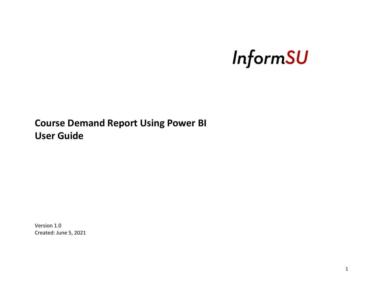# **InformSU**

**Course Demand Report Using Power BI User Guide**

Version 1.0 Created: June 5, 2021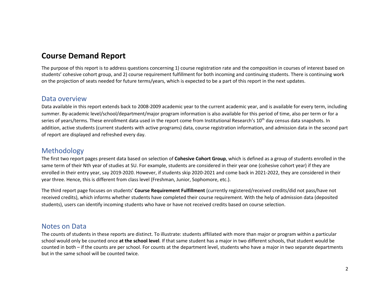# **Course Demand Report**

The purpose of this report is to address questions concerning 1) course registration rate and the composition in courses of interest based on students' cohesive cohort group, and 2) course requirement fulfillment for both incoming and continuing students. There is continuing work on the projection of seats needed for future terms/years, which is expected to be a part of this report in the next updates.

#### Data overview

Data available in this report extends back to 2008-2009 academic year to the current academic year, and is available for every term, including summer. By-academic level/school/department/major program information is also available for this period of time, also per term or for a series of years/terms. These enrollment data used in the report come from Institutional Research's 10<sup>th</sup> day census data snapshots. In addition, active students (current students with active programs) data, course registration information, and admission data in the second part of report are displayed and refreshed every day.

## Methodology

The first two report pages present data based on selection of **Cohesive Cohort Group**, which is defined as a group of students enrolled in the same term of their Nth year of studies at SU. For example, students are considered in their year one (cohesive cohort year) if they are enrolled in their entry year, say 2019-2020. However, if students skip 2020-2021 and come back in 2021-2022, they are considered in their year three. Hence, this is different from class level (Freshman, Junior, Sophomore, etc.).

The third report page focuses on students' **Course Requirement Fulfillment** (currently registered/received credits/did not pass/have not received credits), which informs whether students have completed their course requirement. With the help of admission data (deposited students), users can identify incoming students who have or have not received credits based on course selection.

## Notes on Data

The counts of students in these reports are distinct. To illustrate: students affiliated with more than major or program within a particular school would only be counted once **at the school level**. If that same student has a major in two different schools, that student would be counted in both – if the counts are per school. For counts at the department level, students who have a major in two separate departments but in the same school will be counted twice.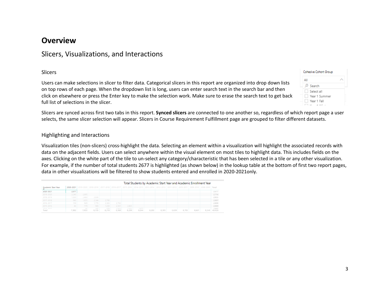## **Overview**

## Slicers, Visualizations, and Interactions

#### Slicers

Users can make selections in slicer to filter data. Categorical slicers in this report are organized into drop down lists on top rows of each page. When the dropdown list is long, users can enter search text in the search bar and then click on elsewhere or press the Enter key to make the selection work. Make sure to erase the search text to get back full list of selections in the slicer.

| <b>Cohesive Cohort Group</b> |  |
|------------------------------|--|
| All                          |  |
| $O$ Search                   |  |
| Select all                   |  |
| Year 1 Summer                |  |
| Year 1 Fall                  |  |
|                              |  |

Slicers are synced across first two tabs in this report. **Synced slicers** are connected to one another so, regardless of which report page a user selects, the same slicer selection will appear. Slicers in Course Requirement Fulfillment page are grouped to filter different datasets.

#### Highlighting and Interactions

Visualization tiles (non-slicers) cross-highlight the data. Selecting an element within a visualization will highlight the associated records with data on the adjacent fields. Users can select anywhere within the visual element on most tiles to highlight data. This includes fields on the axes. Clicking on the white part of the tile to un-select any category/characteristic that has been selected in a tile or any other visualization. For example, if the number of total students 2677 is highlighted (as shown below) in the lookup table at the bottom of first two report pages, data in other visualizations will be filtered to show students entered and enrolled in 2020-2021only.

|                     |       |       | Total Students by Academic Start Year and Academic Enrollment Year |              |                   |                |                |       |       |       |                                                                                                                                         |       |                       |  |
|---------------------|-------|-------|--------------------------------------------------------------------|--------------|-------------------|----------------|----------------|-------|-------|-------|-----------------------------------------------------------------------------------------------------------------------------------------|-------|-----------------------|--|
| Academic Start Year |       |       |                                                                    |              |                   |                |                |       |       |       | 2020-2021 2019-2020 2018-2019 2017-2018 2016-2017 2015-2016 2014-2015 2013-2014 2012-2013 2011-2012 2010-2011 2009-2010 2008-2009 Total |       |                       |  |
| 2020-2021           | 2.677 |       |                                                                    |              |                   |                |                |       |       |       |                                                                                                                                         |       | 2.677                 |  |
| 2019-2020           | 2.240 | 2.695 |                                                                    |              |                   |                |                |       |       |       |                                                                                                                                         |       | 2,716                 |  |
| 2018-2019           | 1,830 | 2,460 | 2,839                                                              |              |                   |                |                |       |       |       |                                                                                                                                         |       | 2,855                 |  |
| 2017-2018           | 946   | 1.655 | 2.344                                                              | 2.790        |                   |                |                |       |       |       |                                                                                                                                         |       | 2,807                 |  |
| 2016-2017           | 159   | 949   | 1.779                                                              | 2.383        | 2.792             |                |                |       |       |       |                                                                                                                                         |       | 2,809                 |  |
| 2015-2016           | 46    | 179   | 968                                                                | 1,830        | 2.501             | 2.865          |                |       |       |       |                                                                                                                                         |       | 2,889                 |  |
| DOAL DOAR<br>Total  | 7,882 | 7.953 | 107<br>8.155                                                       | 070<br>8.216 | $-1.042$<br>8,360 | 2,424<br>8,289 | 2.877<br>8,244 | 8,282 | 8.395 | 8,639 | 8,785                                                                                                                                   | 8.661 | 2.002<br>8,548 40.926 |  |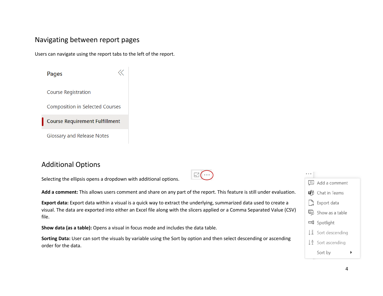## Navigating between report pages

Users can navigate using the report tabs to the left of the report.

 $\mathbf{r}$ 

| Pages                                  |
|----------------------------------------|
| <b>Course Registration</b>             |
| <b>Composition in Selected Courses</b> |
| <b>Course Requirement Fulfillment</b>  |
| <b>Glossary and Release Notes</b>      |

# Additional Options

Selecting the ellipsis opens a dropdown with additional options.

**Add a comment:** This allows users comment and share on any part of the report. This feature is still under evaluation.

 $\mathbb{H}(\cdots)$ 

**Export data:** Export data within a visual is a quick way to extract the underlying, summarized data used to create a visual. The data are exported into either an Excel file along with the slicers applied or a Comma Separated Value (CSV) file.

**Show data (as a table):** Opens a visual in focus mode and includes the data table.

**Sorting Data:** User can sort the visuals by variable using the Sort by option and then select descending or ascending order for the data.

| Add a comment                             |
|-------------------------------------------|
| <b>uth</b> Chat in Teams                  |
| $\Box$ Export data                        |
| 吗 Show as a table                         |
| □ Spotlight                               |
| $\frac{7}{4}$ Sort descending             |
| $\downarrow$ $\frac{A}{2}$ Sort ascending |
| Sort by                                   |
|                                           |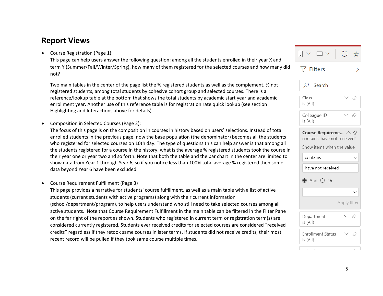# **Report Views**

• Course Registration (Page 1):

This page can help users answer the following question: among all the students enrolled in their year X and term Y (Summer/Fall/Winter/Spring), how many of them registered for the selected courses and how many did not?

Two main tables in the center of the page list the % registered students as well as the complement, % not registered students, among total students by cohesive cohort group and selected courses. There is a reference/lookup table at the bottom that shows the total students by academic start year and academic enrollment year. Another use of this reference table is for registration rate quick lookup (see section Highlighting and Interactions above for details).

• Composition in Selected Courses (Page 2):

The focus of this page is on the composition in courses in history based on users' selections. Instead of total enrolled students in the previous page, now the base population (the denominator) becomes all the students who registered for selected courses on 10th day. The type of questions this can help answer is that among all the students registered for a course in the history, what is the average % registered students took the course in their year one or year two and so forth. Note that both the table and the bar chart in the center are limited to show data from Year 1 through Year 6, so if you notice less than 100% total average % registered then some data beyond Year 6 have been excluded.

• Course Requirement Fulfillment (Page 3)

This page provides a narrative for students' course fulfillment, as well as a main table with a list of active students (current students with active programs) along with their current information (school/department/program), to help users understand who still need to take selected courses among all active students. Note that Course Requirement Fulfillment in the main table can be filtered in the Filter Pane on the far right of the report as shown. Students who registered in current term or registration term(s) are considered currently registered. Students ever received credits for selected courses are considered "received credits" regardless if they retook same courses in later terms. If students did not receive credits, their most recent record will be pulled if they took same course multiple times.

|                                                                                                | ☆            |  |  |  |  |
|------------------------------------------------------------------------------------------------|--------------|--|--|--|--|
| $\triangledown$ Filters                                                                        |              |  |  |  |  |
| O<br>Search                                                                                    |              |  |  |  |  |
| Class<br>is (All)                                                                              | - 82         |  |  |  |  |
| Colleague ID<br>is (All)                                                                       | D            |  |  |  |  |
| Course Requireme $\wedge \otimes$<br>contains 'have not received'<br>Show items when the value |              |  |  |  |  |
| contains                                                                                       |              |  |  |  |  |
| have not received                                                                              |              |  |  |  |  |
| $\bullet$ And $\circ$ Or                                                                       |              |  |  |  |  |
|                                                                                                |              |  |  |  |  |
|                                                                                                | Apply filter |  |  |  |  |
| Department<br>is (All)                                                                         | 0            |  |  |  |  |
| <b>Enrollment Status</b><br>is (All)                                                           | ◇            |  |  |  |  |
| ı                                                                                              |              |  |  |  |  |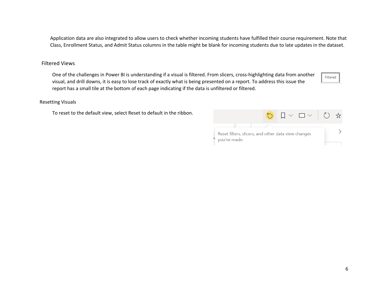Application data are also integrated to allow users to check whether incoming students have fulfilled their course requirement. Note that Class, Enrollment Status, and Admit Status columns in the table might be blank for incoming students due to late updates in the dataset.

#### Filtered Views

One of the challenges in Power BI is understanding if a visual is filtered. From slicers, cross-highlighting data from another visual, and drill downs, it is easy to lose track of exactly what is being presented on a report. To address this issue the report has a small tile at the bottom of each page indicating if the data is unfiltered or filtered.

Filtered

#### Resetting Visuals

To reset to the default view, select Reset to default in the ribbon.